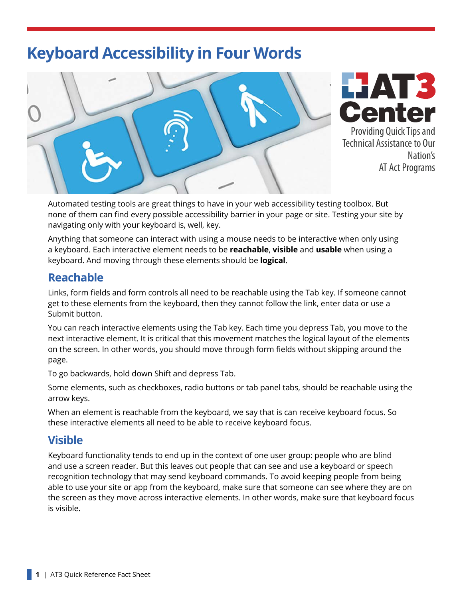# **Keyboard Accessibility in Four Words**





Technical Assistance to Our Nation's AT Act Programs

Automated testing tools are great things to have in your web accessibility testing toolbox. But none of them can find every possible accessibility barrier in your page or site. Testing your site by navigating only with your keyboard is, well, key.

Anything that someone can interact with using a mouse needs to be interactive when only using a keyboard. Each interactive element needs to be **reachable**, **visible** and **usable** when using a keyboard. And moving through these elements should be **logical**.

#### **Reachable**

Links, form fields and form controls all need to be reachable using the Tab key. If someone cannot get to these elements from the keyboard, then they cannot follow the link, enter data or use a Submit button.

You can reach interactive elements using the Tab key. Each time you depress Tab, you move to the next interactive element. It is critical that this movement matches the logical layout of the elements on the screen. In other words, you should move through form fields without skipping around the page.

To go backwards, hold down Shift and depress Tab.

Some elements, such as checkboxes, radio buttons or tab panel tabs, should be reachable using the arrow keys.

When an element is reachable from the keyboard, we say that is can receive keyboard focus. So these interactive elements all need to be able to receive keyboard focus.

#### **Visible**

Keyboard functionality tends to end up in the context of one user group: people who are blind and use a screen reader. But this leaves out people that can see and use a keyboard or speech recognition technology that may send keyboard commands. To avoid keeping people from being able to use your site or app from the keyboard, make sure that someone can see where they are on the screen as they move across interactive elements. In other words, make sure that keyboard focus is visible.